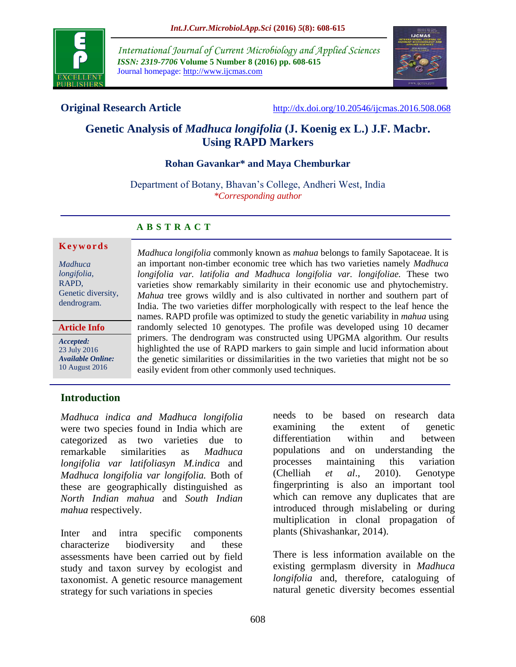

*International Journal of Current Microbiology and Applied Sciences ISSN: 2319-7706* **Volume 5 Number 8 (2016) pp. 608-615** Journal homepage: http://www.ijcmas.com



**Original Research Article** <http://dx.doi.org/10.20546/ijcmas.2016.508.068>

# **Genetic Analysis of** *Madhuca longifolia* **(J. Koenig ex L.) J.F. Macbr. Using RAPD Markers**

## **Rohan Gavankar\* and Maya Chemburkar**

Department of Botany, Bhavan's College, Andheri West, India *\*Corresponding author*

# **A B S T R A C T**

#### **K e y w o r d s**

*Madhuca longifolia*, RAPD, Genetic diversity, dendrogram.

#### **Article Info**

*Accepted:*  23 July 2016 *Available Online:* 10 August 2016

*Madhuca longifolia* commonly known as *mahua* belongs to family Sapotaceae. It is an important non-timber economic tree which has two varieties namely *Madhuca longifolia var. latifolia and Madhuca longifolia var. longifoliae.* These two varieties show remarkably similarity in their economic use and phytochemistry. *Mahua* tree grows wildly and is also cultivated in norther and southern part of India. The two varieties differ morphologically with respect to the leaf hence the names. RAPD profile was optimized to study the genetic variability in *mahua* using randomly selected 10 genotypes. The profile was developed using 10 decamer primers. The dendrogram was constructed using UPGMA algorithm. Our results highlighted the use of RAPD markers to gain simple and lucid information about the genetic similarities or dissimilarities in the two varieties that might not be so easily evident from other commonly used techniques.

# **Introduction**

*Madhuca indica and Madhuca longifolia* were two species found in India which are categorized as two varieties due to remarkable similarities as *Madhuca longifolia var latifoliasyn M.indica* and *Madhuca longifolia var longifolia.* Both of these are geographically distinguished as *North Indian mahua* and *South Indian mahua* respectively.

Inter and intra specific components characterize biodiversity and these assessments have been carried out by field study and taxon survey by ecologist and taxonomist. A genetic resource management strategy for such variations in species

needs to be based on research data examining the extent of genetic differentiation within and between populations and on understanding the processes maintaining this variation (Chelliah *et al*., 2010). Genotype fingerprinting is also an important tool which can remove any duplicates that are introduced through mislabeling or during multiplication in clonal propagation of plants (Shivashankar, 2014).

There is less information available on the existing germplasm diversity in *Madhuca longifolia* and, therefore, cataloguing of natural genetic diversity becomes essential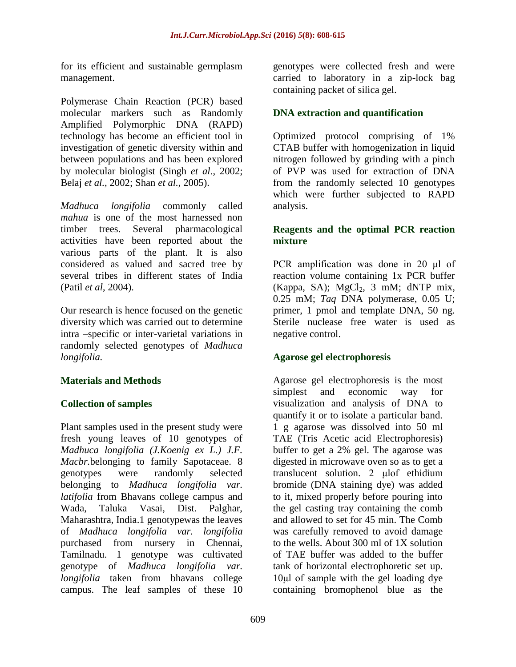for its efficient and sustainable germplasm management.

Polymerase Chain Reaction (PCR) based molecular markers such as Randomly Amplified Polymorphic DNA (RAPD) technology has become an efficient tool in investigation of genetic diversity within and between populations and has been explored by molecular biologist (Singh *et al*., 2002; Belaj *et al.,* 2002; Shan *et al.,* 2005).

*Madhuca longifolia* commonly called *mahua* is one of the most harnessed non timber trees. Several pharmacological activities have been reported about the various parts of the plant. It is also considered as valued and sacred tree by several tribes in different states of India (Patil *et al*, 2004).

Our research is hence focused on the genetic diversity which was carried out to determine intra –specific or inter-varietal variations in randomly selected genotypes of *Madhuca longifolia.*

# **Materials and Methods**

### **Collection of samples**

Plant samples used in the present study were fresh young leaves of 10 genotypes of *Madhuca longifolia (J.Koenig ex L.) J.F. Macbr.*belonging to family Sapotaceae. 8 genotypes were randomly selected belonging to *Madhuca longifolia var. latifolia* from Bhavans college campus and Wada, Taluka Vasai, Dist. Palghar, Maharashtra, India.1 genotypewas the leaves of *Madhuca longifolia var. longifolia* purchased from nursery in Chennai, Tamilnadu. 1 genotype was cultivated genotype of *Madhuca longifolia var. longifolia* taken from bhavans college campus. The leaf samples of these 10

genotypes were collected fresh and were carried to laboratory in a zip-lock bag containing packet of silica gel.

# **DNA extraction and quantification**

Optimized protocol comprising of 1% CTAB buffer with homogenization in liquid nitrogen followed by grinding with a pinch of PVP was used for extraction of DNA from the randomly selected 10 genotypes which were further subjected to RAPD analysis.

### **Reagents and the optimal PCR reaction mixture**

PCR amplification was done in 20 μl of reaction volume containing 1x PCR buffer (Kappa, SA);  $MgCl<sub>2</sub>$ , 3 mM; dNTP mix, 0.25 mM; *Taq* DNA polymerase, 0.05 U; primer, 1 pmol and template DNA, 50 ng. Sterile nuclease free water is used as negative control.

### **Agarose gel electrophoresis**

Agarose gel electrophoresis is the most simplest and economic way for visualization and analysis of DNA to quantify it or to isolate a particular band. 1 g agarose was dissolved into 50 ml TAE (Tris Acetic acid Electrophoresis) buffer to get a 2% gel. The agarose was digested in microwave oven so as to get a translucent solution. 2 μlof ethidium bromide (DNA staining dye) was added to it, mixed properly before pouring into the gel casting tray containing the comb and allowed to set for 45 min. The Comb was carefully removed to avoid damage to the wells. About 300 ml of 1X solution of TAE buffer was added to the buffer tank of horizontal electrophoretic set up. 10μl of sample with the gel loading dye containing bromophenol blue as the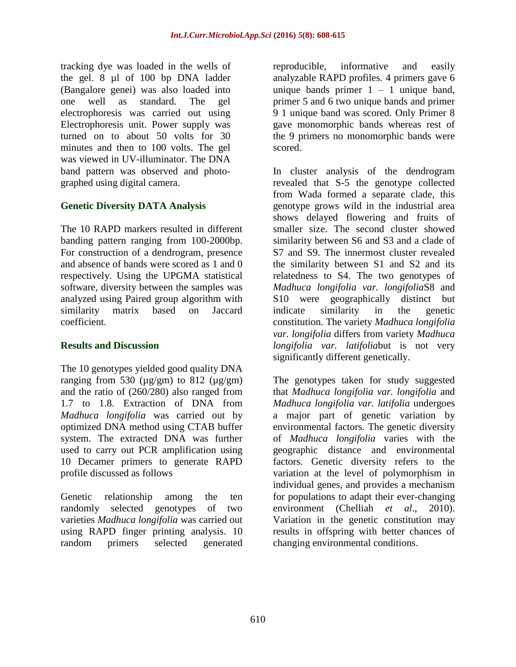tracking dye was loaded in the wells of the gel. 8 µl of 100 bp DNA ladder (Bangalore genei) was also loaded into one well as standard. The gel electrophoresis was carried out using Electrophoresis unit. Power supply was turned on to about 50 volts for 30 minutes and then to 100 volts. The gel was viewed in UV-illuminator. The DNA band pattern was observed and photographed using digital camera.

# **Genetic Diversity DATA Analysis**

The 10 RAPD markers resulted in different banding pattern ranging from 100-2000bp. For construction of a dendrogram, presence and absence of bands were scored as 1 and 0 respectively. Using the UPGMA statistical software, diversity between the samples was analyzed using Paired group algorithm with similarity matrix based on Jaccard coefficient.

### **Results and Discussion**

The 10 genotypes yielded good quality DNA ranging from 530 ( $\mu$ g/gm) to 812 ( $\mu$ g/gm) and the ratio of (260/280) also ranged from 1.7 to 1.8. Extraction of DNA from *Madhuca longifolia* was carried out by optimized DNA method using CTAB buffer system. The extracted DNA was further used to carry out PCR amplification using 10 Decamer primers to generate RAPD profile discussed as follows

Genetic relationship among the ten randomly selected genotypes of two varieties *Madhuca longifolia* was carried out using RAPD finger printing analysis. 10 random primers selected generated reproducible, informative and easily analyzable RAPD profiles. 4 primers gave 6 unique bands primer  $1 - 1$  unique band, primer 5 and 6 two unique bands and primer 9 1 unique band was scored. Only Primer 8 gave monomorphic bands whereas rest of the 9 primers no monomorphic bands were scored.

In cluster analysis of the dendrogram revealed that S-5 the genotype collected from Wada formed a separate clade, this genotype grows wild in the industrial area shows delayed flowering and fruits of smaller size. The second cluster showed similarity between S6 and S3 and a clade of S7 and S9. The innermost cluster revealed the similarity between S1 and S2 and its relatedness to S4. The two genotypes of *Madhuca longifolia var. longifolia*S8 and S10 were geographically distinct but indicate similarity in the genetic constitution. The variety *Madhuca longifolia var. longifolia* differs from variety *Madhuca longifolia var. latifolia*but is not very significantly different genetically.

The genotypes taken for study suggested that *Madhuca longifolia var. longifolia* and *Madhuca longifolia var. latifolia* undergoes a major part of genetic variation by environmental factors. The genetic diversity of *Madhuca longifolia* varies with the geographic distance and environmental factors. Genetic diversity refers to the variation at the level of polymorphism in individual genes, and provides a mechanism for populations to adapt their ever-changing environment (Chelliah *et al*., 2010). Variation in the genetic constitution may results in offspring with better chances of changing environmental conditions.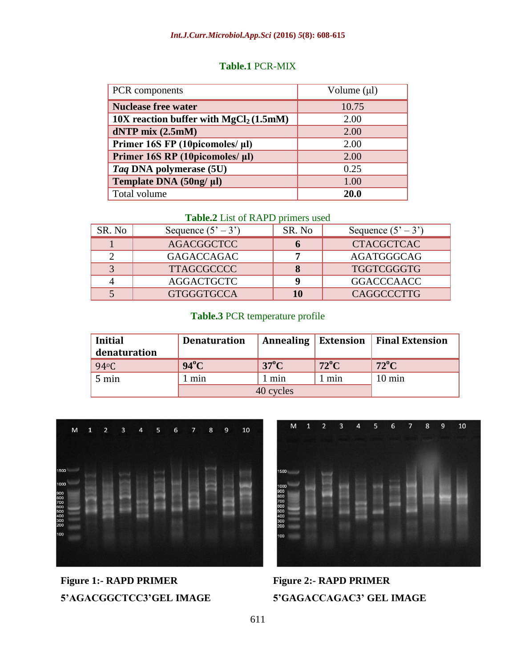| <b>Table.1 PCR-MIX</b> |  |  |
|------------------------|--|--|
|                        |  |  |

| PCR components                          | Volume $(\mu l)$ |  |  |
|-----------------------------------------|------------------|--|--|
| <b>Nuclease free water</b>              | 10.75            |  |  |
| 10X reaction buffer with $MgCl2(1.5mM)$ | 2.00             |  |  |
| $dNTP$ mix $(2.5mM)$                    | 2.00             |  |  |
| Primer 16S FP (10picomoles/ µl)         | 2.00             |  |  |
| Primer 16S RP (10picomoles/ µl)         | 2.00             |  |  |
| Taq DNA polymerase (5U)                 | 0.25             |  |  |
| Template DNA (50ng/ µl)                 | 1.00             |  |  |
| Total volume                            | 20.0             |  |  |

# **Table.2** List of RAPD primers used

| SR. No | Sequence $(5' - 3')$ | SR. No | Sequence $(5' - 3')$ |
|--------|----------------------|--------|----------------------|
|        | <b>AGACGGCTCC</b>    |        | <b>CTACGCTCAC</b>    |
|        | <b>GAGACCAGAC</b>    |        | <b>AGATGGGCAG</b>    |
|        | <b>TTAGCGCCCC</b>    |        | <b>TGGTCGGGTG</b>    |
|        | <b>AGGACTGCTC</b>    |        | <b>GGACCCAACC</b>    |
|        | <b>GTGGGTGCCA</b>    |        | <b>CAGGCCCTTG</b>    |

# **Table.3** PCR temperature profile

| <b>Initial</b><br>denaturation | <b>Denaturation</b> |                |                | Annealing   Extension   Final Extension |
|--------------------------------|---------------------|----------------|----------------|-----------------------------------------|
| 94°C                           | $94^{\circ}$ C      | $37^{\circ}$ C | $72^{\circ}$ C | $72^{\circ}$ C                          |
| 5 min                          | min                 | min            | 1 min          | $10 \text{ min}$                        |
|                                | 40 cycles           |                |                |                                         |



**Figure 1:- RAPD PRIMER Figure 2:- RAPD PRIMER 5'AGACGGCTCC3'GEL IMAGE 5'GAGACCAGAC3' GEL IMAGE**

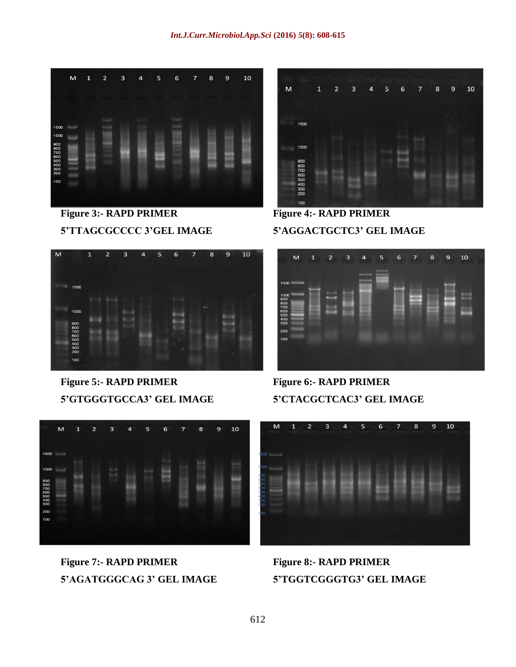

**Figure 3:- RAPD PRIMER Figure 4:- RAPD PRIMER 5'TTAGCGCCCC 3'GEL IMAGE 5'AGGACTGCTC3' GEL IMAGE**



**Figure 5:- RAPD PRIMER Figure 6:- RAPD PRIMER 5'GTGGGTGCCA3' GEL IMAGE 5'CTACGCTCAC3' GEL IMAGE**







**Figure 7:- RAPD PRIMER Figure 8:- RAPD PRIMER 5'AGATGGGCAG 3' GEL IMAGE 5'TGGTCGGGTG3' GEL IMAGE**

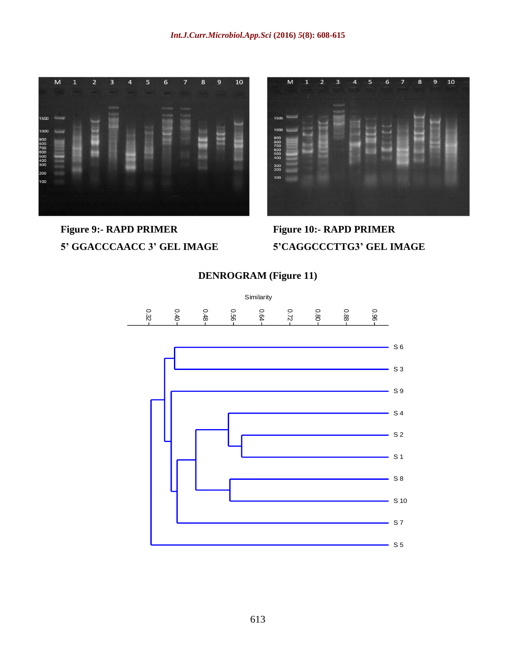

**Figure 9:- RAPD PRIMER Figure 10:- RAPD PRIMER 5' GGACCCAACC 3' GEL IMAGE 5'CAGGCCCTTG3' GEL IMAGE**



# **DENROGRAM (Figure 11)**

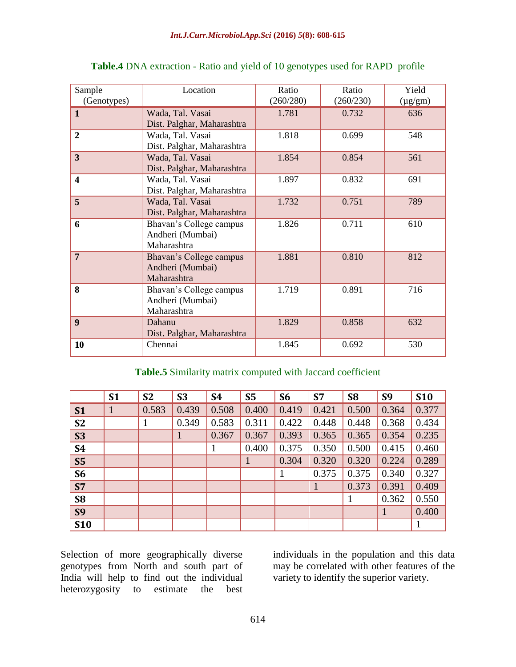| Sample                  | Location                   | Ratio     | Ratio     | Yield        |
|-------------------------|----------------------------|-----------|-----------|--------------|
| (Genotypes)             |                            | (260/280) | (260/230) | $(\mu g/gm)$ |
| $\mathbf{1}$            | Wada, Tal. Vasai           | 1.781     | 0.732     | 636          |
|                         | Dist. Palghar, Maharashtra |           |           |              |
| $\overline{2}$          | Wada, Tal. Vasai           | 1.818     | 0.699     | 548          |
|                         | Dist. Palghar, Maharashtra |           |           |              |
| 3                       | Wada, Tal. Vasai           | 1.854     | 0.854     | 561          |
|                         | Dist. Palghar, Maharashtra |           |           |              |
| $\overline{\mathbf{4}}$ | Wada, Tal. Vasai           | 1.897     | 0.832     | 691          |
|                         | Dist. Palghar, Maharashtra |           |           |              |
| 5 <sup>5</sup>          | Wada, Tal. Vasai           | 1.732     | 0.751     | 789          |
|                         | Dist. Palghar, Maharashtra |           |           |              |
| 6                       | Bhavan's College campus    | 1.826     | 0.711     | 610          |
|                         | Andheri (Mumbai)           |           |           |              |
|                         | Maharashtra                |           |           |              |
| $\overline{7}$          | Bhavan's College campus    | 1.881     | 0.810     | 812          |
|                         | Andheri (Mumbai)           |           |           |              |
|                         | Maharashtra                |           |           |              |
| 8                       | Bhavan's College campus    | 1.719     | 0.891     | 716          |
|                         | Andheri (Mumbai)           |           |           |              |
|                         | Maharashtra                |           |           |              |
| $\boldsymbol{9}$        | Dahanu                     | 1.829     | 0.858     | 632          |
|                         | Dist. Palghar, Maharashtra |           |           |              |
| 10                      | Chennai                    | 1.845     | 0.692     | 530          |

# **Table.4** DNA extraction - Ratio and yield of 10 genotypes used for RAPD profile

#### **Table.5** Similarity matrix computed with Jaccard coefficient

|                | <b>S1</b> | S <sub>2</sub> | S <sub>3</sub> | <b>S4</b> | S <sub>5</sub> | S <sub>6</sub> | S7    | <b>S8</b> | S <sub>9</sub> | <b>S10</b> |
|----------------|-----------|----------------|----------------|-----------|----------------|----------------|-------|-----------|----------------|------------|
| <b>S1</b>      | 1         | 0.583          | 0.439          | 0.508     | 0.400          | 0.419          | 0.421 | 0.500     | 0.364          | 0.377      |
| <b>S2</b>      |           |                | 0.349          | 0.583     | 0.311          | 0.422          | 0.448 | 0.448     | 0.368          | 0.434      |
| <b>S3</b>      |           |                | $\mathbf{1}$   | 0.367     | 0.367          | 0.393          | 0.365 | 0.365     | 0.354          | 0.235      |
| <b>S4</b>      |           |                |                | 1         | 0.400          | 0.375          | 0.350 | 0.500     | 0.415          | 0.460      |
| S <sub>5</sub> |           |                |                |           | 1              | 0.304          | 0.320 | 0.320     | 0.224          | 0.289      |
| S <sub>6</sub> |           |                |                |           |                |                | 0.375 | 0.375     | 0.340          | 0.327      |
| <b>S7</b>      |           |                |                |           |                |                |       | 0.373     | 0.391          | 0.409      |
| <b>S8</b>      |           |                |                |           |                |                |       |           | 0.362          | 0.550      |
| <b>S9</b>      |           |                |                |           |                |                |       |           | $\mathbf{I}$   | 0.400      |
| <b>S10</b>     |           |                |                |           |                |                |       |           |                | 1          |

Selection of more geographically diverse genotypes from North and south part of India will help to find out the individual<br>heterozygosity to estimate the best  $heterozygosity$  to

individuals in the population and this data may be correlated with other features of the variety to identify the superior variety.